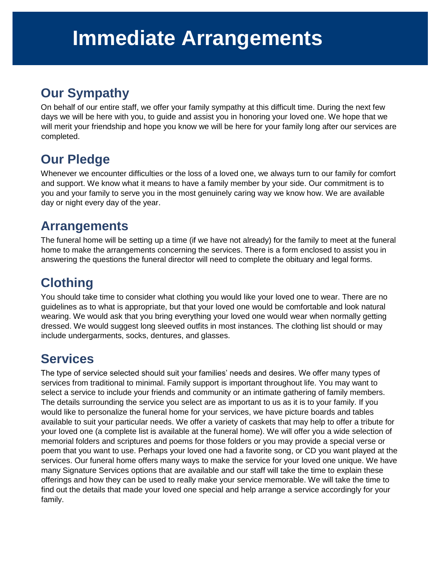## **Our Sympathy**

On behalf of our entire staff, we offer your family sympathy at this difficult time. During the next few days we will be here with you, to guide and assist you in honoring your loved one. We hope that we will merit your friendship and hope you know we will be here for your family long after our services are completed.

# **Our Pledge**

Whenever we encounter difficulties or the loss of a loved one, we always turn to our family for comfort and support. We know what it means to have a family member by your side. Our commitment is to you and your family to serve you in the most genuinely caring way we know how. We are available day or night every day of the year.

### **Arrangements**

The funeral home will be setting up a time (if we have not already) for the family to meet at the funeral home to make the arrangements concerning the services. There is a form enclosed to assist you in answering the questions the funeral director will need to complete the obituary and legal forms.

# **Clothing**

You should take time to consider what clothing you would like your loved one to wear. There are no guidelines as to what is appropriate, but that your loved one would be comfortable and look natural wearing. We would ask that you bring everything your loved one would wear when normally getting dressed. We would suggest long sleeved outfits in most instances. The clothing list should or may include undergarments, socks, dentures, and glasses.

### **Services**

The type of service selected should suit your families' needs and desires. We offer many types of services from traditional to minimal. Family support is important throughout life. You may want to select a service to include your friends and community or an intimate gathering of family members. The details surrounding the service you select are as important to us as it is to your family. If you would like to personalize the funeral home for your services, we have picture boards and tables available to suit your particular needs. We offer a variety of caskets that may help to offer a tribute for your loved one (a complete list is available at the funeral home). We will offer you a wide selection of memorial folders and scriptures and poems for those folders or you may provide a special verse or poem that you want to use. Perhaps your loved one had a favorite song, or CD you want played at the services. Our funeral home offers many ways to make the service for your loved one unique. We have many Signature Services options that are available and our staff will take the time to explain these offerings and how they can be used to really make your service memorable. We will take the time to find out the details that made your loved one special and help arrange a service accordingly for your family.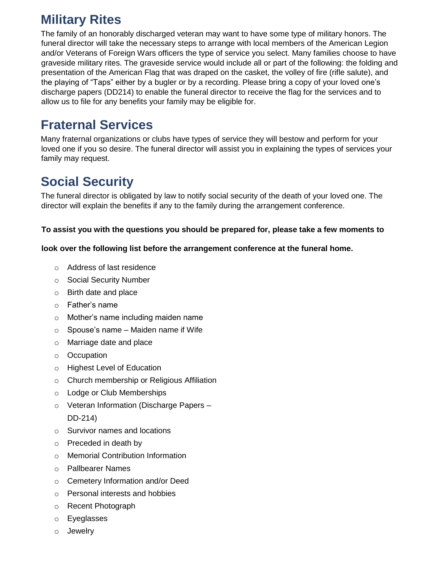# **Military Rites**

The family of an honorably discharged veteran may want to have some type of military honors. The funeral director will take the necessary steps to arrange with local members of the American Legion and/or Veterans of Foreign Wars officers the type of service you select. Many families choose to have graveside military rites. The graveside service would include all or part of the following: the folding and presentation of the American Flag that was draped on the casket, the volley of fire (rifle salute), and the playing of "Taps" either by a bugler or by a recording. Please bring a copy of your loved one's discharge papers (DD214) to enable the funeral director to receive the flag for the services and to allow us to file for any benefits your family may be eligible for.

### **Fraternal Services**

Many fraternal organizations or clubs have types of service they will bestow and perform for your loved one if you so desire. The funeral director will assist you in explaining the types of services your family may request.

# **Social Security**

The funeral director is obligated by law to notify social security of the death of your loved one. The director will explain the benefits if any to the family during the arrangement conference.

#### **To assist you with the questions you should be prepared for, please take a few moments to**

#### **look over the following list before the arrangement conference at the funeral home.**

- o Address of last residence
- o Social Security Number
- o Birth date and place
- o Father's name
- o Mother's name including maiden name
- $\circ$  Spouse's name Maiden name if Wife
- o Marriage date and place
- o Occupation
- o Highest Level of Education
- o Church membership or Religious Affiliation
- o Lodge or Club Memberships
- o Veteran Information (Discharge Papers DD-214)
- o Survivor names and locations
- o Preceded in death by
- o Memorial Contribution Information
- o Pallbearer Names
- o Cemetery Information and/or Deed
- o Personal interests and hobbies
- o Recent Photograph
- o Eyeglasses
- o Jewelry